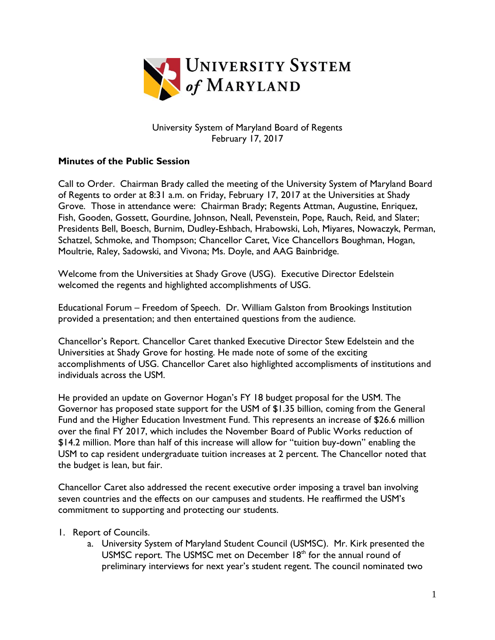

## University System of Maryland Board of Regents February 17, 2017

## **Minutes of the Public Session**

Call to Order. Chairman Brady called the meeting of the University System of Maryland Board of Regents to order at 8:31 a.m. on Friday, February 17, 2017 at the Universities at Shady Grove. Those in attendance were: Chairman Brady; Regents Attman, Augustine, Enriquez, Fish, Gooden, Gossett, Gourdine, Johnson, Neall, Pevenstein, Pope, Rauch, Reid, and Slater; Presidents Bell, Boesch, Burnim, Dudley-Eshbach, Hrabowski, Loh, Miyares, Nowaczyk, Perman, Schatzel, Schmoke, and Thompson; Chancellor Caret, Vice Chancellors Boughman, Hogan, Moultrie, Raley, Sadowski, and Vivona; Ms. Doyle, and AAG Bainbridge.

Welcome from the Universities at Shady Grove (USG). Executive Director Edelstein welcomed the regents and highlighted accomplishments of USG.

Educational Forum – Freedom of Speech. Dr. William Galston from Brookings Institution provided a presentation; and then entertained questions from the audience.

Chancellor's Report. Chancellor Caret thanked Executive Director Stew Edelstein and the Universities at Shady Grove for hosting. He made note of some of the exciting accomplishments of USG. Chancellor Caret also highlighted accomplisments of institutions and individuals across the USM.

He provided an update on Governor Hogan's FY 18 budget proposal for the USM. The Governor has proposed state support for the USM of \$1.35 billion, coming from the General Fund and the Higher Education Investment Fund. This represents an increase of \$26.6 million over the final FY 2017, which includes the November Board of Public Works reduction of \$14.2 million. More than half of this increase will allow for "tuition buy-down" enabling the USM to cap resident undergraduate tuition increases at 2 percent. The Chancellor noted that the budget is lean, but fair.

Chancellor Caret also addressed the recent executive order imposing a travel ban involving seven countries and the effects on our campuses and students. He reaffirmed the USM's commitment to supporting and protecting our students.

- 1. Report of Councils.
	- a. University System of Maryland Student Council (USMSC). Mr. Kirk presented the USMSC report. The USMSC met on December  $18<sup>th</sup>$  for the annual round of preliminary interviews for next year's student regent. The council nominated two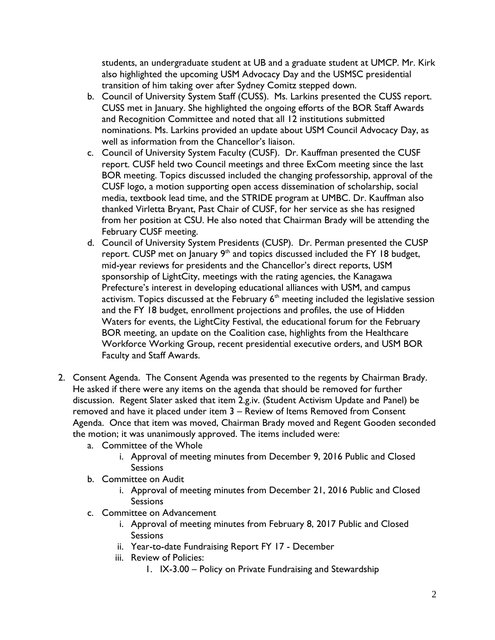students, an undergraduate student at UB and a graduate student at UMCP. Mr. Kirk also highlighted the upcoming USM Advocacy Day and the USMSC presidential transition of him taking over after Sydney Comitz stepped down.

- b. Council of University System Staff (CUSS). Ms. Larkins presented the CUSS report. CUSS met in January. She highlighted the ongoing efforts of the BOR Staff Awards and Recognition Committee and noted that all 12 institutions submitted nominations. Ms. Larkins provided an update about USM Council Advocacy Day, as well as information from the Chancellor's liaison.
- c. Council of University System Faculty (CUSF). Dr. Kauffman presented the CUSF report. CUSF held two Council meetings and three ExCom meeting since the last BOR meeting. Topics discussed included the changing professorship, approval of the CUSF logo, a motion supporting open access dissemination of scholarship, social media, textbook lead time, and the STRIDE program at UMBC. Dr. Kauffman also thanked Virletta Bryant, Past Chair of CUSF, for her service as she has resigned from her position at CSU. He also noted that Chairman Brady will be attending the February CUSF meeting.
- d. Council of University System Presidents (CUSP). Dr. Perman presented the CUSP report. CUSP met on January  $9<sup>th</sup>$  and topics discussed included the FY 18 budget, mid-year reviews for presidents and the Chancellor's direct reports, USM sponsorship of LightCity, meetings with the rating agencies, the Kanagawa Prefecture's interest in developing educational alliances with USM, and campus activism. Topics discussed at the February  $6<sup>th</sup>$  meeting included the legislative session and the FY 18 budget, enrollment projections and profiles, the use of Hidden Waters for events, the LightCity Festival, the educational forum for the February BOR meeting, an update on the Coalition case, highlights from the Healthcare Workforce Working Group, recent presidential executive orders, and USM BOR Faculty and Staff Awards.
- 2. Consent Agenda. The Consent Agenda was presented to the regents by Chairman Brady. He asked if there were any items on the agenda that should be removed for further discussion. Regent Slater asked that item 2.g.iv. (Student Activism Update and Panel) be removed and have it placed under item 3 – Review of Items Removed from Consent Agenda. Once that item was moved, Chairman Brady moved and Regent Gooden seconded the motion; it was unanimously approved. The items included were:
	- a. Committee of the Whole
		- i. Approval of meeting minutes from December 9, 2016 Public and Closed **Sessions**
	- b. Committee on Audit
		- i. Approval of meeting minutes from December 21, 2016 Public and Closed **Sessions**
	- c. Committee on Advancement
		- i. Approval of meeting minutes from February 8, 2017 Public and Closed **Sessions**
		- ii. Year-to-date Fundraising Report FY 17 December
		- iii. Review of Policies:
			- 1. IX-3.00 Policy on Private Fundraising and Stewardship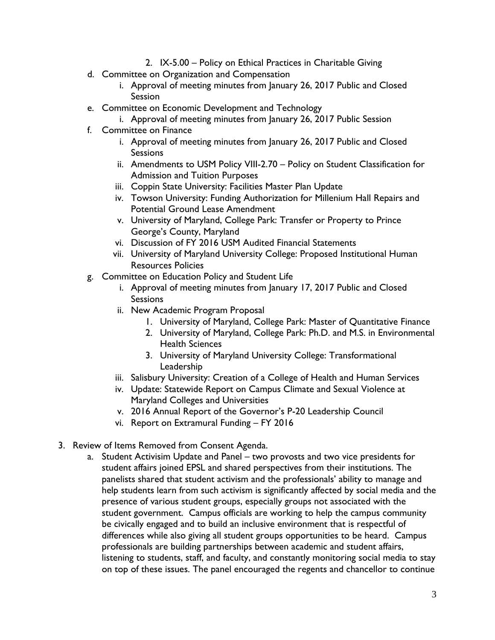- 2. IX-5.00 Policy on Ethical Practices in Charitable Giving
- d. Committee on Organization and Compensation
	- i. Approval of meeting minutes from January 26, 2017 Public and Closed Session
- e. Committee on Economic Development and Technology
	- i. Approval of meeting minutes from January 26, 2017 Public Session
- f. Committee on Finance
	- i. Approval of meeting minutes from January 26, 2017 Public and Closed **Sessions**
	- ii. Amendments to USM Policy VIII-2.70 Policy on Student Classification for Admission and Tuition Purposes
	- iii. Coppin State University: Facilities Master Plan Update
	- iv. Towson University: Funding Authorization for Millenium Hall Repairs and Potential Ground Lease Amendment
	- v. University of Maryland, College Park: Transfer or Property to Prince George's County, Maryland
	- vi. Discussion of FY 2016 USM Audited Financial Statements
	- vii. University of Maryland University College: Proposed Institutional Human Resources Policies
- g. Committee on Education Policy and Student Life
	- i. Approval of meeting minutes from January 17, 2017 Public and Closed **Sessions**
	- ii. New Academic Program Proposal
		- 1. University of Maryland, College Park: Master of Quantitative Finance
		- 2. University of Maryland, College Park: Ph.D. and M.S. in Environmental Health Sciences
		- 3. University of Maryland University College: Transformational Leadership
	- iii. Salisbury University: Creation of a College of Health and Human Services
	- iv. Update: Statewide Report on Campus Climate and Sexual Violence at Maryland Colleges and Universities
	- v. 2016 Annual Report of the Governor's P-20 Leadership Council
	- vi. Report on Extramural Funding FY 2016
- 3. Review of Items Removed from Consent Agenda.
	- a. Student Activisim Update and Panel two provosts and two vice presidents for student affairs joined EPSL and shared perspectives from their institutions. The panelists shared that student activism and the professionals' ability to manage and help students learn from such activism is significantly affected by social media and the presence of various student groups, especially groups not associated with the student government. Campus officials are working to help the campus community be civically engaged and to build an inclusive environment that is respectful of differences while also giving all student groups opportunities to be heard. Campus professionals are building partnerships between academic and student affairs, listening to students, staff, and faculty, and constantly monitoring social media to stay on top of these issues. The panel encouraged the regents and chancellor to continue